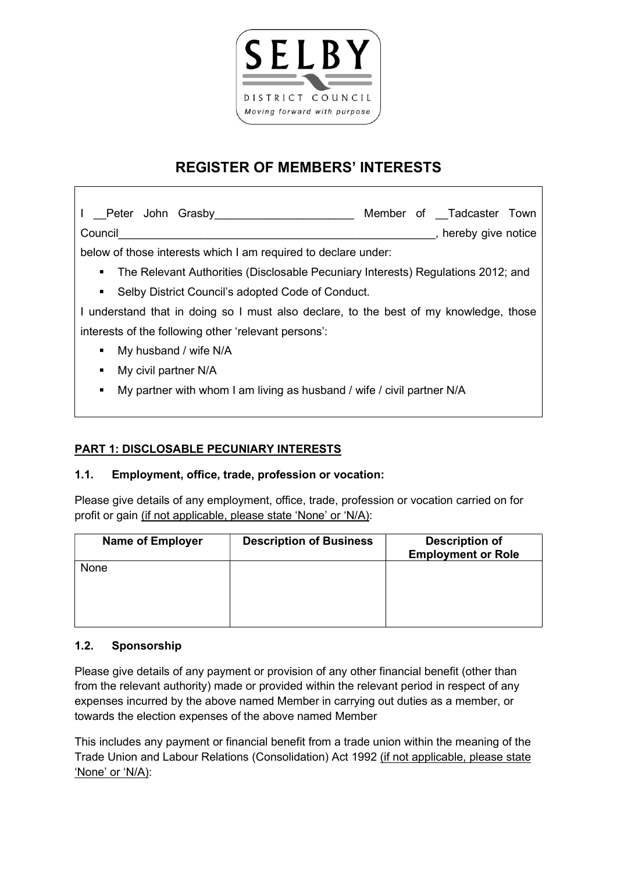

# REGISTER OF MEMBERS' INTERESTS

I Peter John Grasby **Exercise Setup and Member of Tadcaster Town** Council **Council Council Council Council Council Council Council Council Council Council Council Council Council Council Council Council Council Council Council Council Council Cou** below of those interests which I am required to declare under:

- The Relevant Authorities (Disclosable Pecuniary Interests) Regulations 2012; and
- **EXECT:** Selby District Council's adopted Code of Conduct.

I understand that in doing so I must also declare, to the best of my knowledge, those interests of the following other 'relevant persons':

- My husband / wife N/A
- My civil partner N/A
- My partner with whom I am living as husband / wife / civil partner N/A

# PART 1: DISCLOSABLE PECUNIARY INTERESTS

## 1.1. Employment, office, trade, profession or vocation:

Please give details of any employment, office, trade, profession or vocation carried on for profit or gain (if not applicable, please state 'None' or 'N/A):

| <b>Name of Employer</b> | <b>Description of Business</b> | <b>Description of</b><br><b>Employment or Role</b> |
|-------------------------|--------------------------------|----------------------------------------------------|
| None                    |                                |                                                    |
|                         |                                |                                                    |

# 1.2. Sponsorship

Please give details of any payment or provision of any other financial benefit (other than from the relevant authority) made or provided within the relevant period in respect of any expenses incurred by the above named Member in carrying out duties as a member, or towards the election expenses of the above named Member

This includes any payment or financial benefit from a trade union within the meaning of the Trade Union and Labour Relations (Consolidation) Act 1992 (if not applicable, please state 'None' or 'N/A):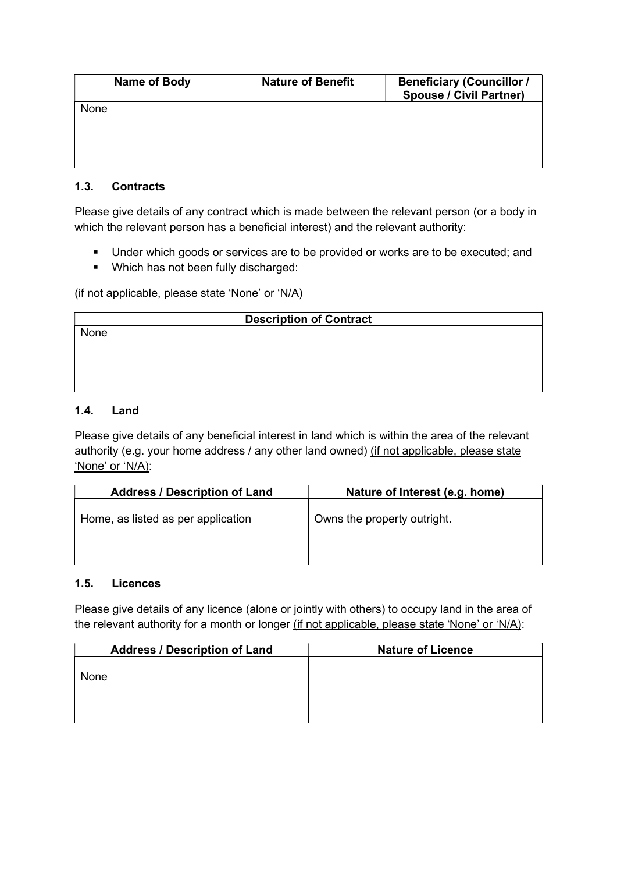| Name of Body | <b>Nature of Benefit</b> | <b>Beneficiary (Councillor /</b><br><b>Spouse / Civil Partner)</b> |
|--------------|--------------------------|--------------------------------------------------------------------|
| None         |                          |                                                                    |
|              |                          |                                                                    |

## 1.3. Contracts

Please give details of any contract which is made between the relevant person (or a body in which the relevant person has a beneficial interest) and the relevant authority:

- **Under which goods or services are to be provided or works are to be executed; and**
- Which has not been fully discharged:

(if not applicable, please state 'None' or 'N/A)

| <b>Description of Contract</b> |  |  |  |
|--------------------------------|--|--|--|
| None                           |  |  |  |
|                                |  |  |  |
|                                |  |  |  |
|                                |  |  |  |

### 1.4. Land

Please give details of any beneficial interest in land which is within the area of the relevant authority (e.g. your home address / any other land owned) (if not applicable, please state 'None' or 'N/A):

| <b>Address / Description of Land</b> | Nature of Interest (e.g. home) |
|--------------------------------------|--------------------------------|
| Home, as listed as per application   | Owns the property outright.    |
|                                      |                                |

#### 1.5. Licences

Please give details of any licence (alone or jointly with others) to occupy land in the area of the relevant authority for a month or longer (if not applicable, please state 'None' or 'N/A):

| <b>Address / Description of Land</b> | <b>Nature of Licence</b> |
|--------------------------------------|--------------------------|
| <b>None</b>                          |                          |
|                                      |                          |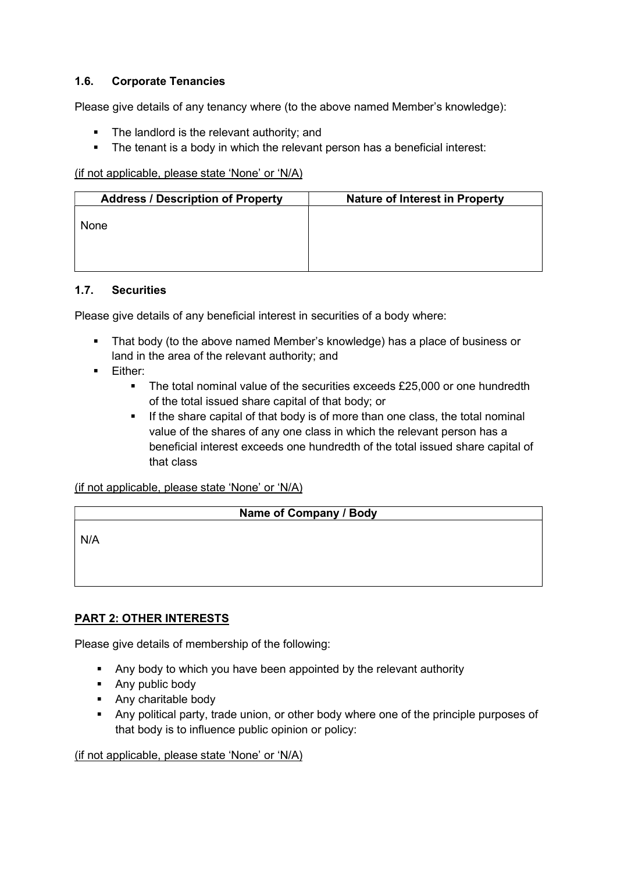#### 1.6. Corporate Tenancies

Please give details of any tenancy where (to the above named Member's knowledge):

- The landlord is the relevant authority: and
- The tenant is a body in which the relevant person has a beneficial interest:

(if not applicable, please state 'None' or 'N/A)

| <b>Address / Description of Property</b> | <b>Nature of Interest in Property</b> |
|------------------------------------------|---------------------------------------|
|                                          |                                       |
| <b>None</b>                              |                                       |
|                                          |                                       |
|                                          |                                       |

## 1.7. Securities

Please give details of any beneficial interest in securities of a body where:

- That body (to the above named Member's knowledge) has a place of business or land in the area of the relevant authority; and
- **Either:** 
	- The total nominal value of the securities exceeds £25,000 or one hundredth of the total issued share capital of that body; or
	- If the share capital of that body is of more than one class, the total nominal value of the shares of any one class in which the relevant person has a beneficial interest exceeds one hundredth of the total issued share capital of that class

(if not applicable, please state 'None' or 'N/A)

#### Name of Company / Body

N/A

# PART 2: OTHER INTERESTS

Please give details of membership of the following:

- Any body to which you have been appointed by the relevant authority
- Any public body
- Any charitable body
- Any political party, trade union, or other body where one of the principle purposes of that body is to influence public opinion or policy:

(if not applicable, please state 'None' or 'N/A)